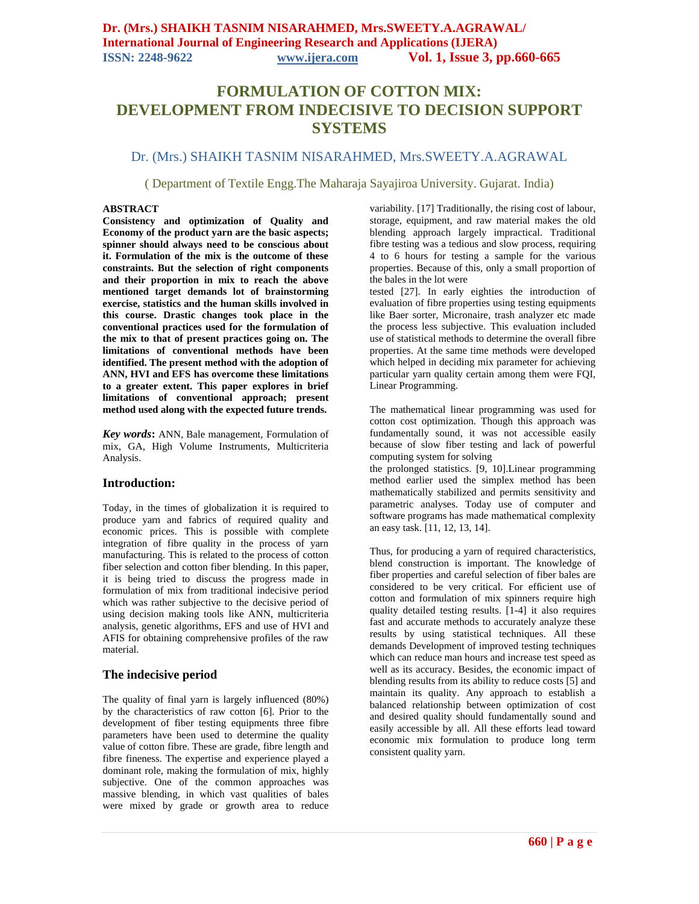# **FORMULATION OF COTTON MIX: DEVELOPMENT FROM INDECISIVE TO DECISION SUPPORT SYSTEMS**

# Dr. (Mrs.) SHAIKH TASNIM NISARAHMED, Mrs.SWEETY.A.AGRAWAL

( Department of Textile Engg.The Maharaja Sayajiroa University. Gujarat. India)

### **ABSTRACT**

**Consistency and optimization of Quality and Economy of the product yarn are the basic aspects; spinner should always need to be conscious about it. Formulation of the mix is the outcome of these constraints. But the selection of right components and their proportion in mix to reach the above mentioned target demands lot of brainstorming exercise, statistics and the human skills involved in this course. Drastic changes took place in the conventional practices used for the formulation of the mix to that of present practices going on. The limitations of conventional methods have been identified. The present method with the adoption of ANN, HVI and EFS has overcome these limitations to a greater extent. This paper explores in brief limitations of conventional approach; present method used along with the expected future trends.**

*Key words***:** ANN, Bale management, Formulation of mix, GA, High Volume Instruments, Multicriteria Analysis.

### **Introduction:**

Today, in the times of globalization it is required to produce yarn and fabrics of required quality and economic prices. This is possible with complete integration of fibre quality in the process of yarn manufacturing. This is related to the process of cotton fiber selection and cotton fiber blending. In this paper, it is being tried to discuss the progress made in formulation of mix from traditional indecisive period which was rather subjective to the decisive period of using decision making tools like ANN, multicriteria analysis, genetic algorithms, EFS and use of HVI and AFIS for obtaining comprehensive profiles of the raw material.

# **The indecisive period**

The quality of final yarn is largely influenced (80%) by the characteristics of raw cotton [6]. Prior to the development of fiber testing equipments three fibre parameters have been used to determine the quality value of cotton fibre. These are grade, fibre length and fibre fineness. The expertise and experience played a dominant role, making the formulation of mix, highly subjective. One of the common approaches was massive blending, in which vast qualities of bales were mixed by grade or growth area to reduce

variability. [17] Traditionally, the rising cost of labour, storage, equipment, and raw material makes the old blending approach largely impractical. Traditional fibre testing was a tedious and slow process, requiring 4 to 6 hours for testing a sample for the various properties. Because of this, only a small proportion of the bales in the lot were

tested [27]. In early eighties the introduction of evaluation of fibre properties using testing equipments like Baer sorter, Micronaire, trash analyzer etc made the process less subjective. This evaluation included use of statistical methods to determine the overall fibre properties. At the same time methods were developed which helped in deciding mix parameter for achieving particular yarn quality certain among them were FQI, Linear Programming.

The mathematical linear programming was used for cotton cost optimization. Though this approach was fundamentally sound, it was not accessible easily because of slow fiber testing and lack of powerful computing system for solving

the prolonged statistics. [9, 10].Linear programming method earlier used the simplex method has been mathematically stabilized and permits sensitivity and parametric analyses. Today use of computer and software programs has made mathematical complexity an easy task. [11, 12, 13, 14].

Thus, for producing a yarn of required characteristics, blend construction is important. The knowledge of fiber properties and careful selection of fiber bales are considered to be very critical. For efficient use of cotton and formulation of mix spinners require high quality detailed testing results. [1-4] it also requires fast and accurate methods to accurately analyze these results by using statistical techniques. All these demands Development of improved testing techniques which can reduce man hours and increase test speed as well as its accuracy. Besides, the economic impact of blending results from its ability to reduce costs [5] and maintain its quality. Any approach to establish a balanced relationship between optimization of cost and desired quality should fundamentally sound and easily accessible by all. All these efforts lead toward economic mix formulation to produce long term consistent quality yarn.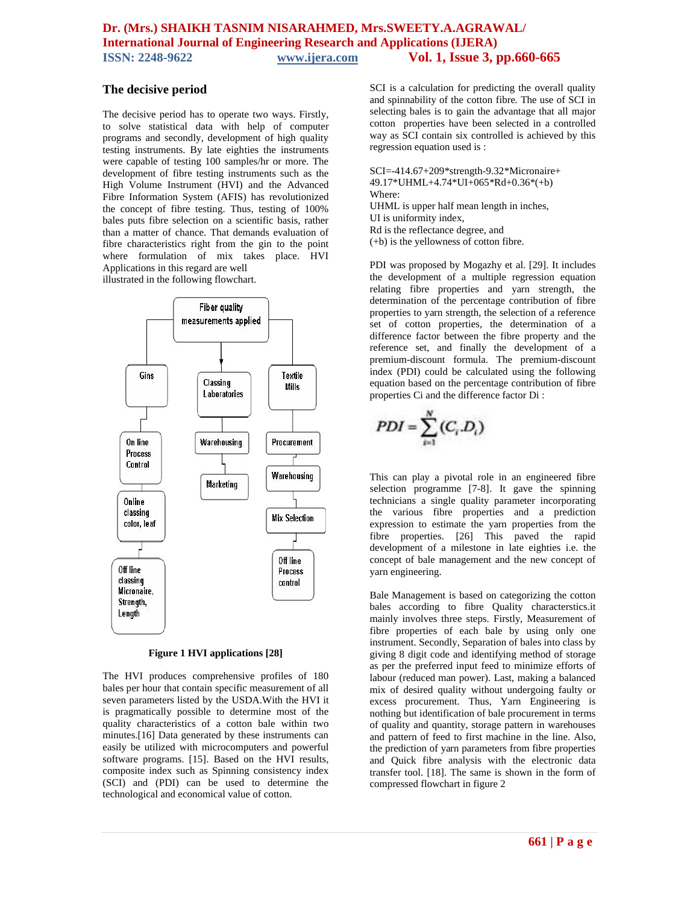### **The decisive period**

The decisive period has to operate two ways. Firstly, to solve statistical data with help of computer programs and secondly, development of high quality testing instruments. By late eighties the instruments were capable of testing 100 samples/hr or more. The development of fibre testing instruments such as the High Volume Instrument (HVI) and the Advanced Fibre Information System (AFIS) has revolutionized the concept of fibre testing. Thus, testing of 100% bales puts fibre selection on a scientific basis, rather than a matter of chance. That demands evaluation of fibre characteristics right from the gin to the point where formulation of mix takes place. HVI Applications in this regard are well

illustrated in the following flowchart.



**Figure 1 HVI applications [28]**

The HVI produces comprehensive profiles of 180 bales per hour that contain specific measurement of all seven parameters listed by the USDA.With the HVI it is pragmatically possible to determine most of the quality characteristics of a cotton bale within two minutes.[16] Data generated by these instruments can easily be utilized with microcomputers and powerful software programs. [15]. Based on the HVI results, composite index such as Spinning consistency index (SCI) and (PDI) can be used to determine the technological and economical value of cotton.

SCI is a calculation for predicting the overall quality and spinnability of the cotton fibre. The use of SCI in selecting bales is to gain the advantage that all major cotton properties have been selected in a controlled way as SCI contain six controlled is achieved by this regression equation used is :

SCI=-414.67+209\*strength-9.32\*Micronaire+ 49.17\*UHML+4.74\*UI+065\*Rd+0.36\*(+b) Where: UHML is upper half mean length in inches, UI is uniformity index,

Rd is the reflectance degree, and

(+b) is the yellowness of cotton fibre.

PDI was proposed by Mogazhy et al. [29]. It includes the development of a multiple regression equation relating fibre properties and yarn strength, the determination of the percentage contribution of fibre properties to yarn strength, the selection of a reference set of cotton properties, the determination of a difference factor between the fibre property and the reference set, and finally the development of a premium-discount formula. The premium-discount index (PDI) could be calculated using the following equation based on the percentage contribution of fibre properties Ci and the difference factor Di :

$$
PDI = \sum_{i=1}^N (C_i.D_i)
$$

This can play a pivotal role in an engineered fibre selection programme [7-8]. It gave the spinning technicians a single quality parameter incorporating the various fibre properties and a prediction expression to estimate the yarn properties from the fibre properties. [26] This paved the rapid development of a milestone in late eighties i.e. the concept of bale management and the new concept of yarn engineering.

Bale Management is based on categorizing the cotton bales according to fibre Quality characterstics.it mainly involves three steps. Firstly, Measurement of fibre properties of each bale by using only one instrument. Secondly, Separation of bales into class by giving 8 digit code and identifying method of storage as per the preferred input feed to minimize efforts of labour (reduced man power). Last, making a balanced mix of desired quality without undergoing faulty or excess procurement. Thus, Yarn Engineering is nothing but identification of bale procurement in terms of quality and quantity, storage pattern in warehouses and pattern of feed to first machine in the line. Also, the prediction of yarn parameters from fibre properties and Quick fibre analysis with the electronic data transfer tool. [18]. The same is shown in the form of compressed flowchart in figure 2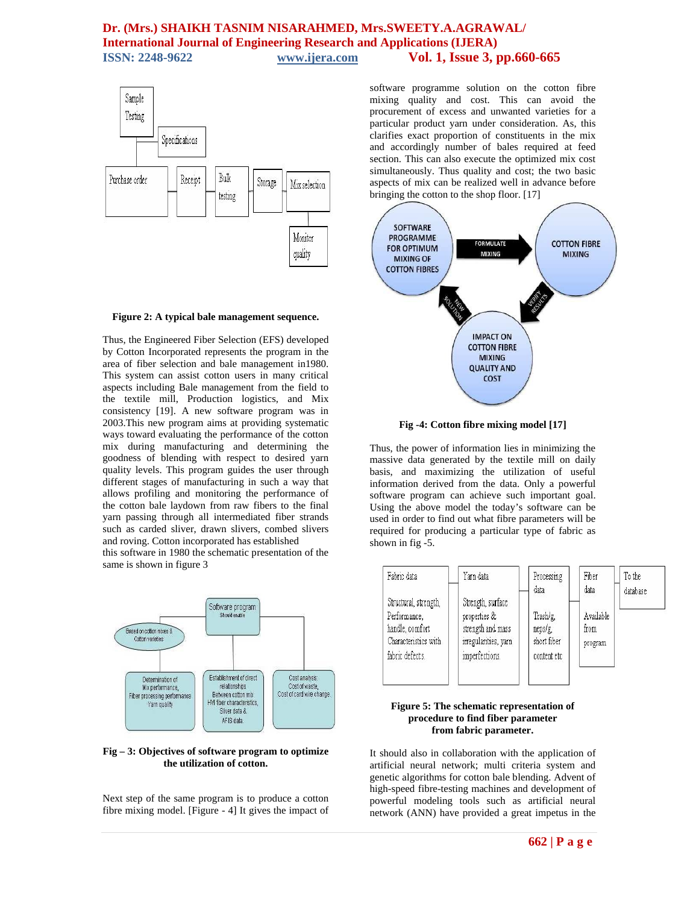

#### **Figure 2: A typical bale management sequence.**

Thus, the Engineered Fiber Selection (EFS) developed by Cotton Incorporated represents the program in the area of fiber selection and bale management in1980. This system can assist cotton users in many critical aspects including Bale management from the field to the textile mill, Production logistics, and Mix consistency [19]. A new software program was in 2003.This new program aims at providing systematic ways toward evaluating the performance of the cotton mix during manufacturing and determining the goodness of blending with respect to desired yarn quality levels. This program guides the user through different stages of manufacturing in such a way that allows profiling and monitoring the performance of the cotton bale laydown from raw fibers to the final yarn passing through all intermediated fiber strands such as carded sliver, drawn slivers, combed slivers and roving. Cotton incorporated has established

this software in 1980 the schematic presentation of the same is shown in figure 3



#### **Fig – 3: Objectives of software program to optimize the utilization of cotton.**

Next step of the same program is to produce a cotton fibre mixing model. [Figure - 4] It gives the impact of

software programme solution on the cotton fibre mixing quality and cost. This can avoid the procurement of excess and unwanted varieties for a particular product yarn under consideration. As, this clarifies exact proportion of constituents in the mix and accordingly number of bales required at feed section. This can also execute the optimized mix cost simultaneously. Thus quality and cost; the two basic aspects of mix can be realized well in advance before bringing the cotton to the shop floor. [17]



**Fig -4: Cotton fibre mixing model [17]**

Thus, the power of information lies in minimizing the massive data generated by the textile mill on daily basis, and maximizing the utilization of useful information derived from the data. Only a powerful software program can achieve such important goal. Using the above model the today's software can be used in order to find out what fibre parameters will be required for producing a particular type of fabric as shown in fig -5.

| Fabric data                                                                                         | Yarn data                                                                                        | Processing<br>data                                | Fiber<br>data                | To the<br>database |
|-----------------------------------------------------------------------------------------------------|--------------------------------------------------------------------------------------------------|---------------------------------------------------|------------------------------|--------------------|
| Structural, strength,<br>Performance.<br>handle, comfort<br>Characteristics with<br>fabric defects. | Strength, surface<br>properties &<br>strength and mass<br>irregularities, yarn<br>imperfections. | Trash/g,<br>neps/g,<br>short fiber<br>content etc | Available<br>from<br>program |                    |

#### **Figure 5: The schematic representation of procedure to find fiber parameter from fabric parameter.**

It should also in collaboration with the application of artificial neural network; multi criteria system and genetic algorithms for cotton bale blending. Advent of high-speed fibre-testing machines and development of powerful modeling tools such as artificial neural network (ANN) have provided a great impetus in the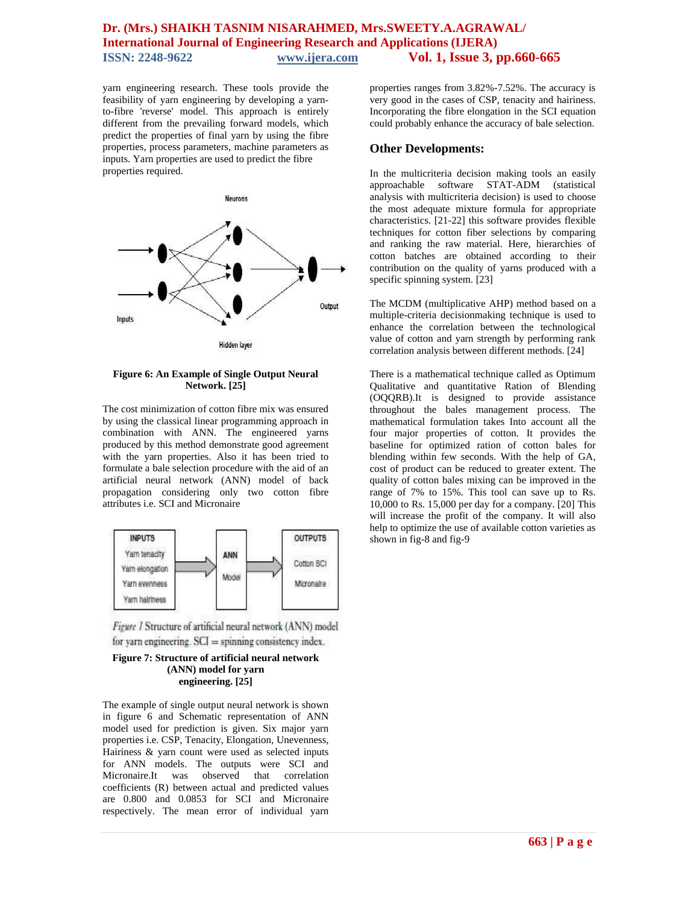yarn engineering research. These tools provide the feasibility of yarn engineering by developing a yarnto-fibre 'reverse' model. This approach is entirely different from the prevailing forward models, which predict the properties of final yarn by using the fibre properties, process parameters, machine parameters as inputs. Yarn properties are used to predict the fibre properties required.



#### **Figure 6: An Example of Single Output Neural Network. [25]**

The cost minimization of cotton fibre mix was ensured by using the classical linear programming approach in combination with ANN. The engineered yarns produced by this method demonstrate good agreement with the yarn properties. Also it has been tried to formulate a bale selection procedure with the aid of an artificial neural network (ANN) model of back propagation considering only two cotton fibre attributes i.e. SCI and Micronaire



Figure 1 Structure of artificial neural network (ANN) model for yarn engineering.  $\text{SCI} = \text{spinning consistency index.}$ 

#### **Figure 7: Structure of artificial neural network (ANN) model for yarn engineering. [25]**

The example of single output neural network is shown in figure 6 and Schematic representation of ANN model used for prediction is given. Six major yarn properties i.e. CSP, Tenacity, Elongation, Unevenness, Hairiness & yarn count were used as selected inputs for ANN models. The outputs were SCI and<br>Micronaire.It was observed that correlation was observed that correlation coefficients (R) between actual and predicted values are 0.800 and 0.0853 for SCI and Micronaire respectively. The mean error of individual yarn properties ranges from 3.82%-7.52%. The accuracy is very good in the cases of CSP, tenacity and hairiness. Incorporating the fibre elongation in the SCI equation could probably enhance the accuracy of bale selection.

### **Other Developments:**

In the multicriteria decision making tools an easily approachable software STAT-ADM (statistical analysis with multicriteria decision) is used to choose the most adequate mixture formula for appropriate characteristics. [21-22] this software provides flexible techniques for cotton fiber selections by comparing and ranking the raw material. Here, hierarchies of cotton batches are obtained according to their contribution on the quality of yarns produced with a specific spinning system. [23]

The MCDM (multiplicative AHP) method based on a multiple-criteria decisionmaking technique is used to enhance the correlation between the technological value of cotton and yarn strength by performing rank correlation analysis between different methods. [24]

There is a mathematical technique called as Optimum Qualitative and quantitative Ration of Blending (OQQRB).It is designed to provide assistance throughout the bales management process. The mathematical formulation takes Into account all the four major properties of cotton. It provides the baseline for optimized ration of cotton bales for blending within few seconds. With the help of GA, cost of product can be reduced to greater extent. The quality of cotton bales mixing can be improved in the range of 7% to 15%. This tool can save up to Rs. 10,000 to Rs. 15,000 per day for a company. [20] This will increase the profit of the company. It will also help to optimize the use of available cotton varieties as shown in fig-8 and fig-9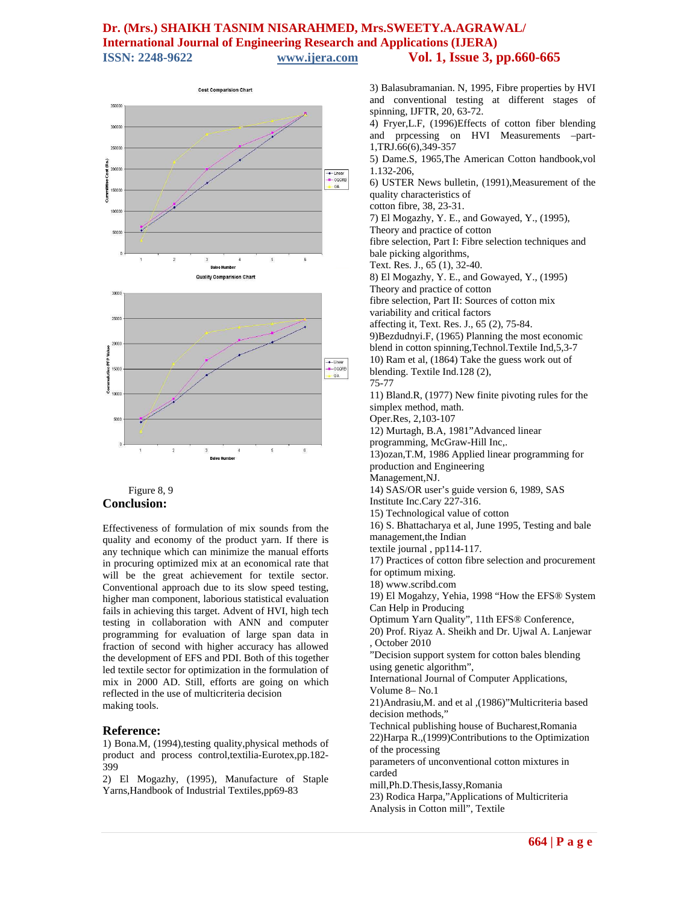

#### Figure 8, 9 **Conclusion:**

Effectiveness of formulation of mix sounds from the quality and economy of the product yarn. If there is any technique which can minimize the manual efforts in procuring optimized mix at an economical rate that will be the great achievement for textile sector. Conventional approach due to its slow speed testing, higher man component, laborious statistical evaluation fails in achieving this target. Advent of HVI, high tech testing in collaboration with ANN and computer programming for evaluation of large span data in fraction of second with higher accuracy has allowed the development of EFS and PDI. Both of this together led textile sector for optimization in the formulation of mix in 2000 AD. Still, efforts are going on which reflected in the use of multicriteria decision making tools.

### **Reference:**

1) Bona.M, (1994),testing quality,physical methods of product and process control,textilia-Eurotex,pp.182- 399

2) El Mogazhy, (1995), Manufacture of Staple Yarns,Handbook of Industrial Textiles,pp69-83

3) Balasubramanian. N, 1995, Fibre properties by HVI and conventional testing at different stages of spinning, IJFTR, 20, 63-72. 4) Fryer,L.F, (1996)Effects of cotton fiber blending and prpcessing on HVI Measurements –part-1,TRJ.66(6),349-357 5) Dame.S, 1965,The American Cotton handbook,vol 1.132-206, 6) USTER News bulletin, (1991),Measurement of the quality characteristics of cotton fibre, 38, 23-31. 7) El Mogazhy, Y. E., and Gowayed, Y., (1995), Theory and practice of cotton fibre selection, Part I: Fibre selection techniques and bale picking algorithms, Text. Res. J., 65 (1), 32-40. 8) El Mogazhy, Y. E., and Gowayed, Y., (1995) Theory and practice of cotton fibre selection, Part II: Sources of cotton mix variability and critical factors affecting it, Text. Res. J., 65 (2), 75-84. 9)Bezdudnyi.F, (1965) Planning the most economic blend in cotton spinning,Technol.Textile Ind,5,3-7 10) Ram et al, (1864) Take the guess work out of blending. Textile Ind.128 (2), 75-77 11) Bland.R, (1977) New finite pivoting rules for the simplex method, math. Oper.Res, 2,103-107 12) Murtagh, B.A, 1981"Advanced linear programming, McGraw-Hill Inc,. 13)ozan,T.M, 1986 Applied linear programming for production and Engineering Management,NJ. 14) SAS/OR user's guide version 6, 1989, SAS Institute Inc.Cary 227-316. 15) Technological value of cotton 16) S. Bhattacharya et al, June 1995, Testing and bale management,the Indian textile journal , pp114-117. 17) Practices of cotton fibre selection and procurement for optimum mixing. 18) www.scribd.com 19) El Mogahzy, Yehia, 1998 "How the EFS® System Can Help in Producing Optimum Yarn Quality", 11th EFS® Conference, 20) Prof. Riyaz A. Sheikh and Dr. Ujwal A. Lanjewar , October 2010 "Decision support system for cotton bales blending using genetic algorithm", International Journal of Computer Applications, Volume 8– No.1 21)Andrasiu,M. and et al ,(1986)"Multicriteria based decision methods," Technical publishing house of Bucharest,Romania 22)Harpa R.,(1999)Contributions to the Optimization of the processing parameters of unconventional cotton mixtures in carded mill,Ph.D.Thesis,Iassy,Romania 23) Rodica Harpa,"Applications of Multicriteria Analysis in Cotton mill", Textile